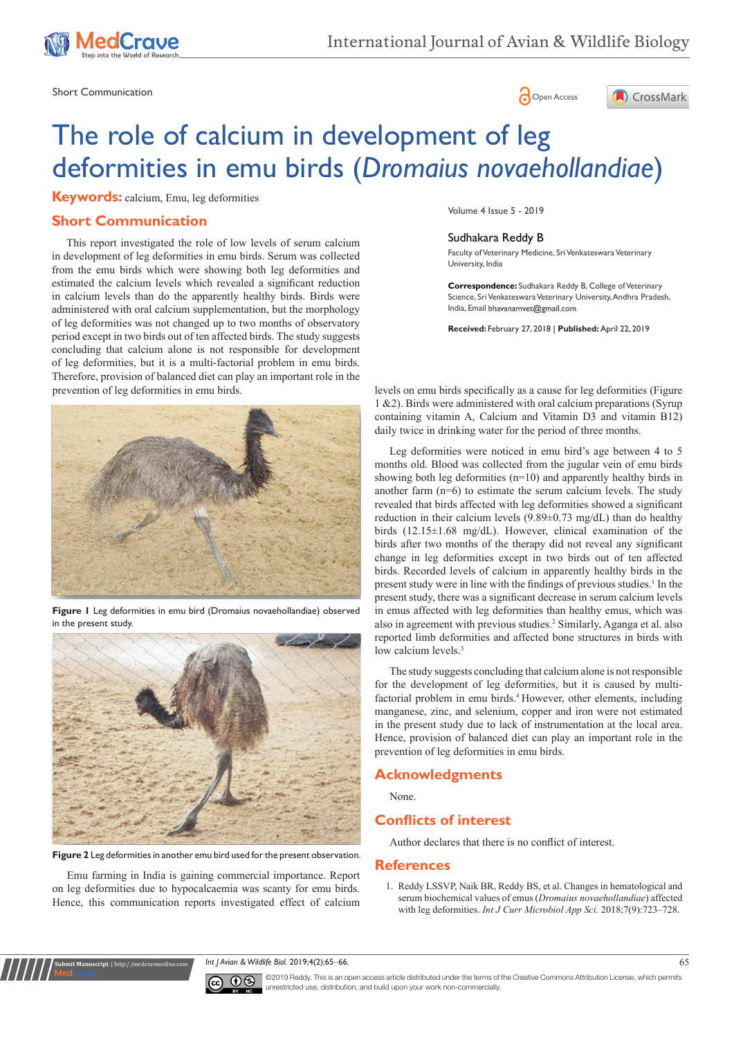

Short Communication and the state of the state of the state of the Spen Access of the Spen Access of the Spen Access of the Spen Access of the Spen Access of the Spen Access of the Spen Access of the Spen Access of the Spe





# The role of calcium in development of leg deformities in emu birds (*Dromaius novaehollandiae*)

**Keywords:** calcium, Emu, leg deformities

# **Short Communication**

prevention of leg deformities in emu birds. This report investigated the role of low levels of serum calcium in development of leg deformities in emu birds. Serum was collected from the emu birds which were showing both leg deformities and estimated the calcium levels which revealed a significant reduction in calcium levels than do the apparently healthy birds. Birds were administered with oral calcium supplementation, but the morphology of leg deformities was not changed up to two months of observatory period except in two birds out of ten affected birds. The study suggests concluding that calcium alone is not responsible for development of leg deformities, but it is a multi-factorial problem in emu birds. Therefore, provision of balanced diet can play an important role in the



**Figure 1** Leg deformities in emu bird (Dromaius novaehollandiae) observed in the present study.



**Figure 2** Leg deformities in another emu bird used for the present observation.

Emu farming in India is gaining commercial importance. Report on leg deformities due to hypocalcaemia was scanty for emu birds. Hence, this communication reports investigated effect of calcium

**Submit Manuscript** | http://medcraveonline.com

Volume 4 Issue 5 - 2019

#### Sudhakara Reddy B

Faculty of Veterinary Medicine, Sri Venkateswara Veterinary University, India

**Correspondence:** Sudhakara Reddy B, College of Veterinary Science, Sri Venkateswara Veterinary University, Andhra Pradesh, India, Email bhavanamvet@gmail.com

**Received:** February 27, 2018 | **Published:** April 22, 2019

levels on emu birds specifically as a cause for leg deformities (Figure 1 &2). Birds were administered with oral calcium preparations (Syrup containing vitamin A, Calcium and Vitamin D3 and vitamin B12) daily twice in drinking water for the period of three months.

Leg deformities were noticed in emu bird's age between 4 to 5 months old. Blood was collected from the jugular vein of emu birds showing both leg deformities (n=10) and apparently healthy birds in another farm (n=6) to estimate the serum calcium levels. The study revealed that birds affected with leg deformities showed a significant reduction in their calcium levels (9.89±0.73 mg/dL) than do healthy birds (12.15±1.68 mg/dL). However, clinical examination of the birds after two months of the therapy did not reveal any significant change in leg deformities except in two birds out of ten affected birds. Recorded levels of calcium in apparently healthy birds in the present study were in line with the findings of previous studies.<sup>1</sup> In the present study, there was a significant decrease in serum calcium levels in emus affected with leg deformities than healthy emus, which was also in agreement with previous studies.<sup>2</sup> Similarly, Aganga et al. also reported limb deformities and affected bone structures in birds with low calcium levels.<sup>3</sup>

The study suggests concluding that calcium alone is not responsible for the development of leg deformities, but it is caused by multifactorial problem in emu birds.<sup>4</sup> However, other elements, including manganese, zinc, and selenium, copper and iron were not estimated in the present study due to lack of instrumentation at the local area. Hence, provision of balanced diet can play an important role in the prevention of leg deformities in emu birds.

### **Acknowledgments**

None.

## **Conflicts of interest**

Author declares that there is no conflict of interest.

#### **References**

1. [Reddy LSSVP, Naik BR, Reddy BS, et al. Changes in hematological and](https://www.ijcmas.com/7-9-2018/L.S.S.%20Vara%20Prasad%20Reddy,%20et%20al.pdf)  [serum biochemical values of emus \(](https://www.ijcmas.com/7-9-2018/L.S.S.%20Vara%20Prasad%20Reddy,%20et%20al.pdf)*Dromaius novaehollandiae*) affected with leg deformities. *[Int J Curr Microbiol App Sci.](https://www.ijcmas.com/7-9-2018/L.S.S.%20Vara%20Prasad%20Reddy,%20et%20al.pdf)* 2018;7(9):723–728.

*Int J Avian & Wildlife Biol.* 2019;4(2):65‒66. 65



©2019 Reddy. This is an open access article distributed under the terms of the [Creative Commons Attribution License](https://creativecommons.org/licenses/by-nc/4.0/), which permits unrestricted use, distribution, and build upon your work non-commercially.